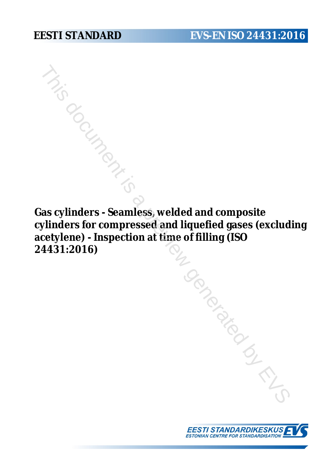**Gas cylinders - Seamless, welded and composite cylinders for compressed and liquefied gases (excluding acetylene) - Inspection at time of filling (ISO 24431:2016)** To do monde by EVS

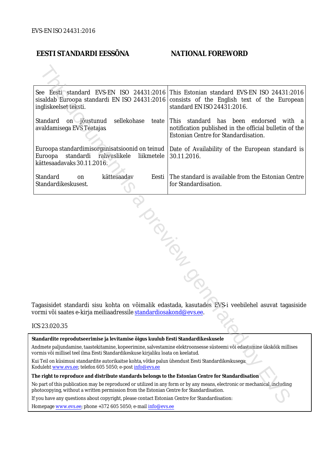## **EESTI STANDARDI EESSÕNA NATIONAL FOREWORD**

| See Eesti standard EVS-EN ISO 24431:2016<br>This Estonian standard EVS-EN ISO 24431:2016<br>sisaldab Euroopa standardi EN ISO 24431:2016 consists of the English text of the European<br>standard EN ISO 24431:2016.<br>ingliskeelset teksti. |        |  |
|-----------------------------------------------------------------------------------------------------------------------------------------------------------------------------------------------------------------------------------------------|--------|--|
| Standard<br>sellekohase<br>on jõustunud<br>This standard has been endorsed<br>teate<br>notification published in the official bulletin of the<br>avaldamisega EVS Teatajas<br>Estonian Centre for Standardisation.                            | with a |  |
| Euroopa standardimisorganisatsioonid on teinud<br>Date of Availability of the European standard is<br>standardi<br>rahvuslikele<br>Euroopa<br>liikmetele<br>30.11.2016.<br>kättesaadavaks 30.11.2016.                                         |        |  |
| Standard<br>kättesaadav<br>The standard is available from the Estonian Centre<br>Eesti<br>on<br>Standardikeskusest.<br>for Standardisation.                                                                                                   |        |  |
| Tagasisidet standardi sisu kohta on võimalik edastada, kasutades EVS-i veebilehel asuvat tagasiside<br>vormi või saates e-kirja meiliaadressile <u>standardiosakond@evs.ee</u> .                                                              |        |  |
| ICS 23.020.35                                                                                                                                                                                                                                 |        |  |
| Standardite reprodutseerimise ja levitamise õigus kuulub Eesti Standardikeskusele                                                                                                                                                             |        |  |
| Andmete paljundamine, taastekitamine, kopeerimine, salvestamine elektroonsesse süsteemi või edastamine ükskõik millises<br>vormis või millisel teel ilma Eesti Standardikeskuse kirjaliku loata on keelatud.                                  |        |  |
| Kui Teil on küsimusi standardite autorikaitse kohta, võtke palun ühendust Eesti Standardikeskusega:<br>Koduleht www.evs.ee; telefon 605 5050; e-post info@evs.ee                                                                              |        |  |
| The right to reproduce and distribute standards belongs to the Estonian Centre for Standardisation                                                                                                                                            |        |  |
| No part of this publication may be reproduced or utilized in any form or by any means, electronic or mechanical, including<br>photocopying, without a written permission from the Estonian Centre for Standardisation.                        |        |  |
| If you have any questions about copyright, please contact Estonian Centre for Standardisation:                                                                                                                                                |        |  |
|                                                                                                                                                                                                                                               |        |  |

### ICS 23.020.35

Homepage [www.evs.ee](http://www.evs.ee/); phone +372 605 5050; e-mail info@evs.ee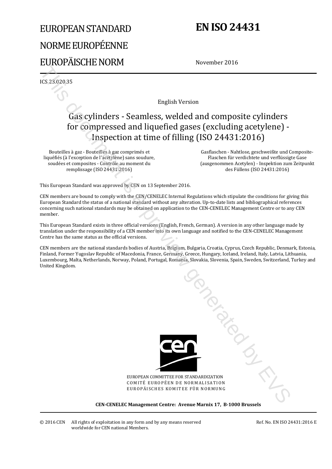# EUROPEAN STANDARD NORME EUROPÉENNE EUROPÄISCHE NORM

# **EN ISO 24431**

November 2016

ICS 23.020.35

English Version

## Gas cylinders - Seamless, welded and composite cylinders for compressed and liquefied gases (excluding acetylene) - Inspection at time of filling (ISO 24431:2016)

Bouteilles à gaz - Bouteilles à gaz comprimés et liquéfiés (à l'exception de l'acétylène) sans soudure, soudées et composites - Contrôle au moment du remplissage (ISO 24431:2016)

 Gasflaschen - Nahtlose, geschweißte und Composite-Flaschen für verdichtete und verflüssigte Gase (ausgenommen Acetylen) - Inspektion zum Zeitpunkt des Füllens (ISO 24431:2016)

This European Standard was approved by CEN on 13 September 2016.

CEN members are bound to comply with the CEN/CENELEC Internal Regulations which stipulate the conditions for giving this European Standard the status of a national standard without any alteration. Up-to-date lists and bibliographical references concerning such national standards may be obtained on application to the CEN-CENELEC Management Centre or to any CEN member.

This European Standard exists in three official versions (English, French, German). A version in any other language made by translation under the responsibility of a CEN member into its own language and notified to the CEN-CENELEC Management Centre has the same status as the official versions.

CEN members are the national standards bodies of Austria, Belgium, Bulgaria, Croatia, Cyprus, Czech Republic, Denmark, Estonia, Finland, Former Yugoslav Republic of Macedonia, France, Germany, Greece, Hungary, Iceland, Ireland, Italy, Latvia, Lithuania, Luxembourg, Malta, Netherlands, Norway, Poland, Portugal, Romania, Slovakia, Slovenia, Spain, Sweden, Switzerland, Turkey and United Kingdom.



EUROPEAN COMMITTEE FOR STANDARDIZATION COMITÉ EUROPÉEN DE NORMALISATION EUROPÄISCHES KOMITEE FÜR NORMUNG

**CEN-CENELEC Management Centre: Avenue Marnix 17, B-1000 Brussels**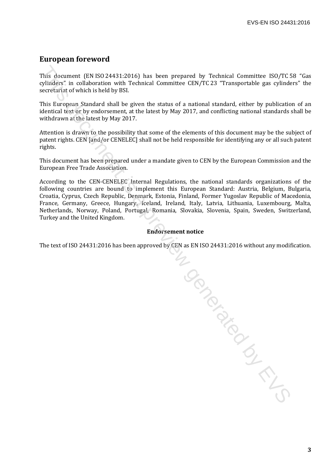## **European foreword**

This document (EN ISO 24431:2016) has been prepared by Technical Committee ISO/TC 58 "Gas cylinders" in collaboration with Technical Committee CEN/TC 23 "Transportable gas cylinders" the secretariat of which is held by BSI.

This European Standard shall be given the status of a national standard, either by publication of an identical text or by endorsement, at the latest by May 2017, and conflicting national standards shall be withdrawn at the latest by May 2017.

Attention is drawn to the possibility that some of the elements of this document may be the subject of patent rights. CEN [and/or CENELEC] shall not be held responsible for identifying any or all such patent rights.

This document has been prepared under a mandate given to CEN by the European Commission and the European Free Trade Association.

According to the CEN-CENELEC Internal Regulations, the national standards organizations of the following countries are bound to implement this European Standard: Austria, Belgium, Bulgaria, Croatia, Cyprus, Czech Republic, Denmark, Estonia, Finland, Former Yugoslav Republic of Macedonia, France, Germany, Greece, Hungary, Iceland, Ireland, Italy, Latvia, Lithuania, Luxembourg, Malta, Netherlands, Norway, Poland, Portugal, Romania, Slovakia, Slovenia, Spain, Sweden, Switzerland, Turkey and the United Kingdom.

### **Endorsement notice**

The text of ISO 24431:2016 has been approved by CEN as EN ISO 24431:2016 without any modification.

To donated by EV-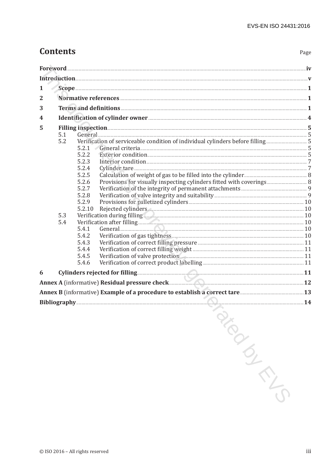## **Contents**

| 1            |     |                                                    |  |  |
|--------------|-----|----------------------------------------------------|--|--|
| $\mathbf{2}$ |     |                                                    |  |  |
| 3            |     |                                                    |  |  |
| 4            |     |                                                    |  |  |
| 5            |     | Filling inspection 5                               |  |  |
|              | 5.1 |                                                    |  |  |
|              | 5.2 |                                                    |  |  |
|              |     | 5.2.1                                              |  |  |
|              |     | 5.2.2                                              |  |  |
|              |     | 5.2.3                                              |  |  |
|              |     | 5.2.4                                              |  |  |
|              |     | 5.2.5                                              |  |  |
|              |     | 5.2.6<br>5.2.7                                     |  |  |
|              |     | 5.2.8                                              |  |  |
|              |     | 5.2.9                                              |  |  |
|              |     | Rejected cylinders. 10<br>5.2.10                   |  |  |
|              | 5.3 | Verification during filling                        |  |  |
|              | 5.4 |                                                    |  |  |
|              |     | 5.4.1<br>General 10                                |  |  |
|              |     | 5.4.2                                              |  |  |
|              |     | 5.4.3                                              |  |  |
|              |     | 5.4.4                                              |  |  |
|              |     | Verification of valve protection<br>5.4.5<br>5.4.6 |  |  |
|              |     |                                                    |  |  |
| 6            |     |                                                    |  |  |
|              |     | Annex A (informative) Residual pressure check      |  |  |
|              |     |                                                    |  |  |
|              |     | Bibliography 24                                    |  |  |
|              |     | $\hat{S}$                                          |  |  |
|              |     |                                                    |  |  |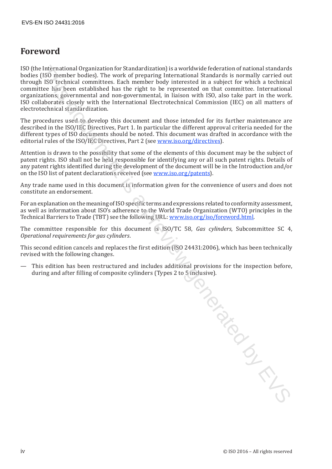## **Foreword**

ISO (the International Organization for Standardization) is a worldwide federation of national standards bodies (ISO member bodies). The work of preparing International Standards is normally carried out through ISO technical committees. Each member body interested in a subject for which a technical committee has been established has the right to be represented on that committee. International organizations, governmental and non-governmental, in liaison with ISO, also take part in the work. ISO collaborates closely with the International Electrotechnical Commission (IEC) on all matters of electrotechnical standardization.

The procedures used to develop this document and those intended for its further maintenance are described in the ISO/IEC Directives, Part 1. In particular the different approval criteria needed for the different types of ISO documents should be noted. This document was drafted in accordance with the editorial rules of the ISO/IEC Directives, Part 2 (see www.iso.org/directives).

Attention is drawn to the possibility that some of the elements of this document may be the subject of patent rights. ISO shall not be held responsible for identifying any or all such patent rights. Details of any patent rights identified during the development of the document will be in the Introduction and/or on the ISO list of patent declarations received (see www.iso.org/patents).

Any trade name used in this document is information given for the convenience of users and does not constitute an endorsement.

For an explanation on the meaning of ISO specific terms and expressions related to conformity assessment, as well as information about ISO's adherence to the World Trade Organization (WTO) principles in the Technical Barriers to Trade (TBT) see the following URL: www.iso.org/iso/foreword.html.

The committee responsible for this document is ISO/TC 58, *Gas cylinders*, Subcommittee SC 4, *Operational requirements for gas cylinders*.

This second edition cancels and replaces the first edition (ISO 24431:2006), which has been technically revised with the following changes.

— This edition has been restructured and includes additional provisions for the inspection before, during and after filling of composite cylinders (Types 2 to 5 inclusive).

This document is a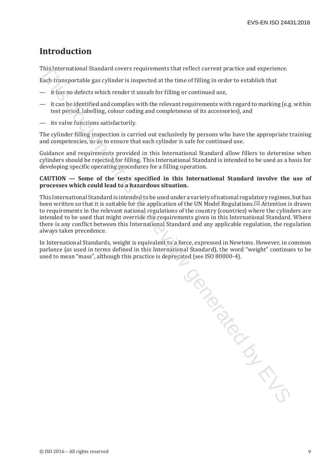## **Introduction**

This International Standard covers requirements that reflect current practice and experience.

Each transportable gas cylinder is inspected at the time of filling in order to establish that

- it has no defects which render it unsafe for filling or continued use,
- it can be identified and complies with the relevant requirements with regard to marking (e.g. within test period, labelling, colour coding and completeness of its accessories), and
- its valve functions satisfactorily.

The cylinder filling inspection is carried out exclusively by persons who have the appropriate training and competencies, so as to ensure that each cylinder is safe for continued use.

Guidance and requirements provided in this International Standard allow fillers to determine when cylinders should be rejected for filling. This International Standard is intended to be used as a basis for developing specific operating procedures for a filling operation.

### **CAUTION — Some of the tests specified in this International Standard involve the use of processes which could lead to a hazardous situation.**

This International Standard is intended to be used under a variety of national regulatory regimes, but has been written so that it is suitable for the application of the UN Model Regulations.[1] Attention is drawn to requirements in the relevant national regulations of the country (countries) where the cylinders are intended to be used that might override the requirements given in this International Standard. Where there is any conflict between this International Standard and any applicable regulation, the regulation always takes precedence.

In International Standards, weight is equivalent to a force, expressed in Newtons. However, in common parlance (as used in terms defined in this International Standard), the word "weight" continues to be used to mean "mass", although this practice is deprecated (see ISO 80000-4).

Journal is a previous critical